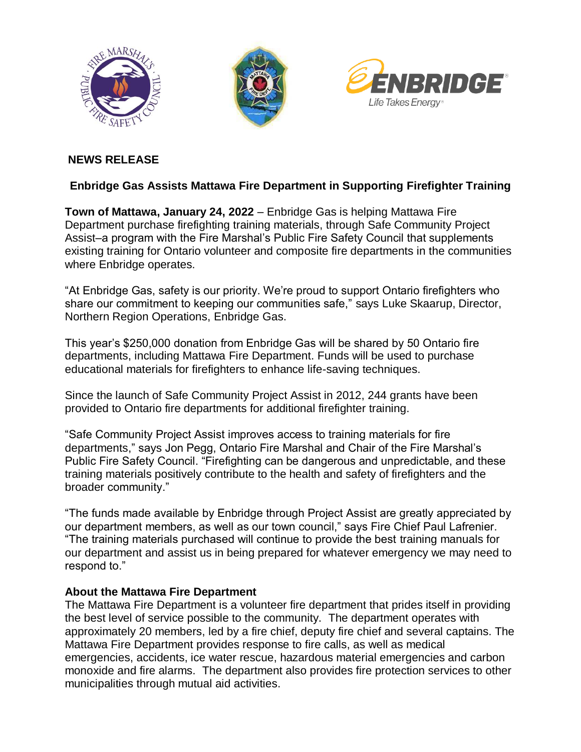





# **NEWS RELEASE**

## **Enbridge Gas Assists Mattawa Fire Department in Supporting Firefighter Training**

**Town of Mattawa, January 24, 2022** – Enbridge Gas is helping Mattawa Fire Department purchase firefighting training materials, through Safe Community Project Assist–a program with the Fire Marshal's Public Fire Safety Council that supplements existing training for Ontario volunteer and composite fire departments in the communities where Enbridge operates.

"At Enbridge Gas, safety is our priority. We're proud to support Ontario firefighters who share our commitment to keeping our communities safe," says Luke Skaarup, Director, Northern Region Operations, Enbridge Gas.

This year's \$250,000 donation from Enbridge Gas will be shared by 50 Ontario fire departments, including Mattawa Fire Department. Funds will be used to purchase educational materials for firefighters to enhance life-saving techniques.

Since the launch of Safe Community Project Assist in 2012, 244 grants have been provided to Ontario fire departments for additional firefighter training.

"Safe Community Project Assist improves access to training materials for fire departments," says Jon Pegg, Ontario Fire Marshal and Chair of the Fire Marshal's Public Fire Safety Council. "Firefighting can be dangerous and unpredictable, and these training materials positively contribute to the health and safety of firefighters and the broader community."

"The funds made available by Enbridge through Project Assist are greatly appreciated by our department members, as well as our town council," says Fire Chief Paul Lafrenier. "The training materials purchased will continue to provide the best training manuals for our department and assist us in being prepared for whatever emergency we may need to respond to."

### **About the Mattawa Fire Department**

The Mattawa Fire Department is a volunteer fire department that prides itself in providing the best level of service possible to the community. The department operates with approximately 20 members, led by a fire chief, deputy fire chief and several captains. The Mattawa Fire Department provides response to fire calls, as well as medical emergencies, accidents, ice water rescue, hazardous material emergencies and carbon monoxide and fire alarms. The department also provides fire protection services to other municipalities through mutual aid activities.